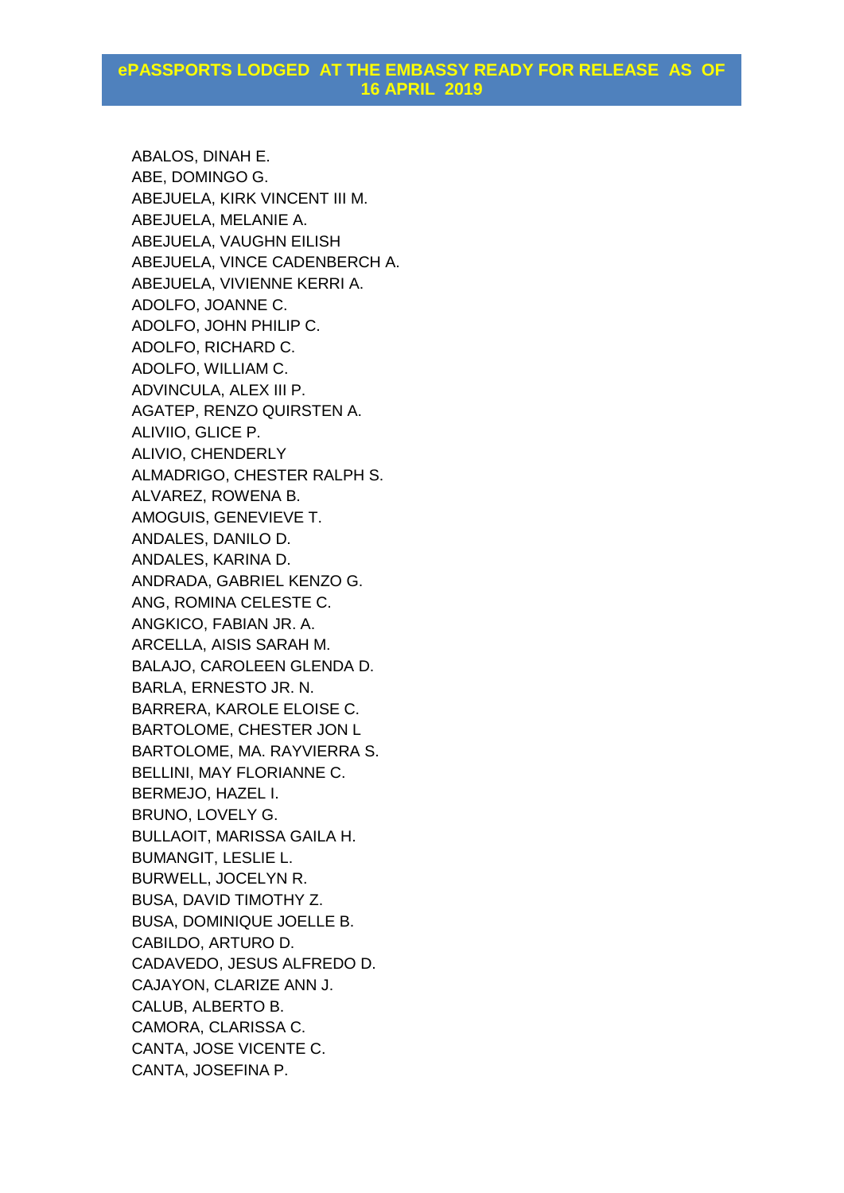ABALOS, DINAH E. ABE, DOMINGO G. ABEJUELA, KIRK VINCENT III M. ABEJUELA, MELANIE A. ABEJUELA, VAUGHN EILISH ABEJUELA, VINCE CADENBERCH A. ABEJUELA, VIVIENNE KERRI A. ADOLFO, JOANNE C. ADOLFO, JOHN PHILIP C. ADOLFO, RICHARD C. ADOLFO, WILLIAM C. ADVINCULA, ALEX III P. AGATEP, RENZO QUIRSTEN A. ALIVIIO, GLICE P. ALIVIO, CHENDERLY ALMADRIGO, CHESTER RALPH S. ALVAREZ, ROWENA B. AMOGUIS, GENEVIEVE T. ANDALES, DANILO D. ANDALES, KARINA D. ANDRADA, GABRIEL KENZO G. ANG, ROMINA CELESTE C. ANGKICO, FABIAN JR. A. ARCELLA, AISIS SARAH M. BALAJO, CAROLEEN GLENDA D. BARLA, ERNESTO JR. N. BARRERA, KAROLE ELOISE C. BARTOLOME, CHESTER JON L BARTOLOME, MA. RAYVIERRA S. BELLINI, MAY FLORIANNE C. BERMEJO, HAZEL I. BRUNO, LOVELY G. BULLAOIT, MARISSA GAILA H. BUMANGIT, LESLIE L. BURWELL, JOCELYN R. BUSA, DAVID TIMOTHY Z. BUSA, DOMINIQUE JOELLE B. CABILDO, ARTURO D. CADAVEDO, JESUS ALFREDO D. CAJAYON, CLARIZE ANN J. CALUB, ALBERTO B. CAMORA, CLARISSA C. CANTA, JOSE VICENTE C. CANTA, JOSEFINA P.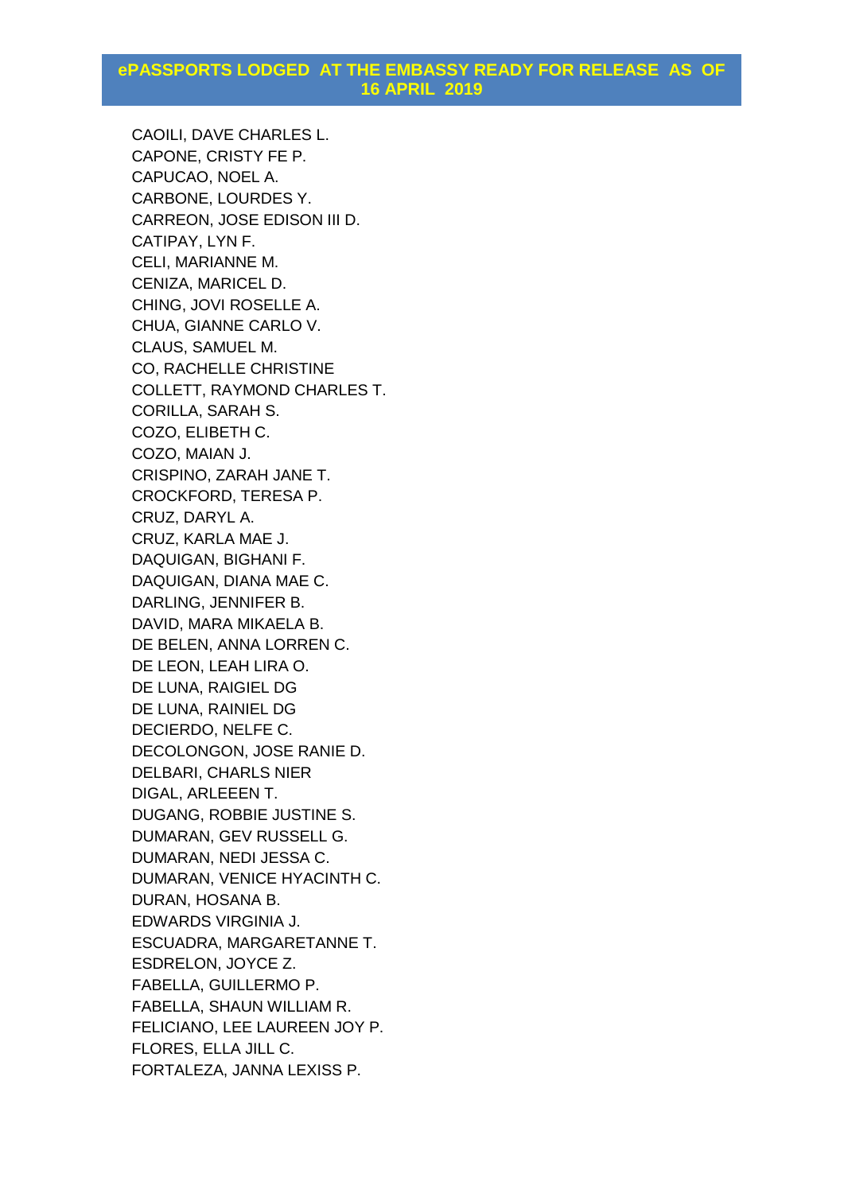CAOILI, DAVE CHARLES L. CAPONE, CRISTY FE P. CAPUCAO, NOEL A. CARBONE, LOURDES Y. CARREON, JOSE EDISON III D. CATIPAY, LYN F. CELI, MARIANNE M. CENIZA, MARICEL D. CHING, JOVI ROSELLE A. CHUA, GIANNE CARLO V. CLAUS, SAMUEL M. CO, RACHELLE CHRISTINE COLLETT, RAYMOND CHARLES T. CORILLA, SARAH S. COZO, ELIBETH C. COZO, MAIAN J. CRISPINO, ZARAH JANE T. CROCKFORD, TERESA P. CRUZ, DARYL A. CRUZ, KARLA MAE J. DAQUIGAN, BIGHANI F. DAQUIGAN, DIANA MAE C. DARLING, JENNIFER B. DAVID, MARA MIKAELA B. DE BELEN, ANNA LORREN C. DE LEON, LEAH LIRA O. DE LUNA, RAIGIEL DG DE LUNA, RAINIEL DG DECIERDO, NELFE C. DECOLONGON, JOSE RANIE D. DELBARI, CHARLS NIER DIGAL, ARLEEEN T. DUGANG, ROBBIE JUSTINE S. DUMARAN, GEV RUSSELL G. DUMARAN, NEDI JESSA C. DUMARAN, VENICE HYACINTH C. DURAN, HOSANA B. EDWARDS VIRGINIA J. ESCUADRA, MARGARETANNE T. ESDRELON, JOYCE Z. FABELLA, GUILLERMO P. FABELLA, SHAUN WILLIAM R. FELICIANO, LEE LAUREEN JOY P. FLORES, ELLA JILL C. FORTALEZA, JANNA LEXISS P.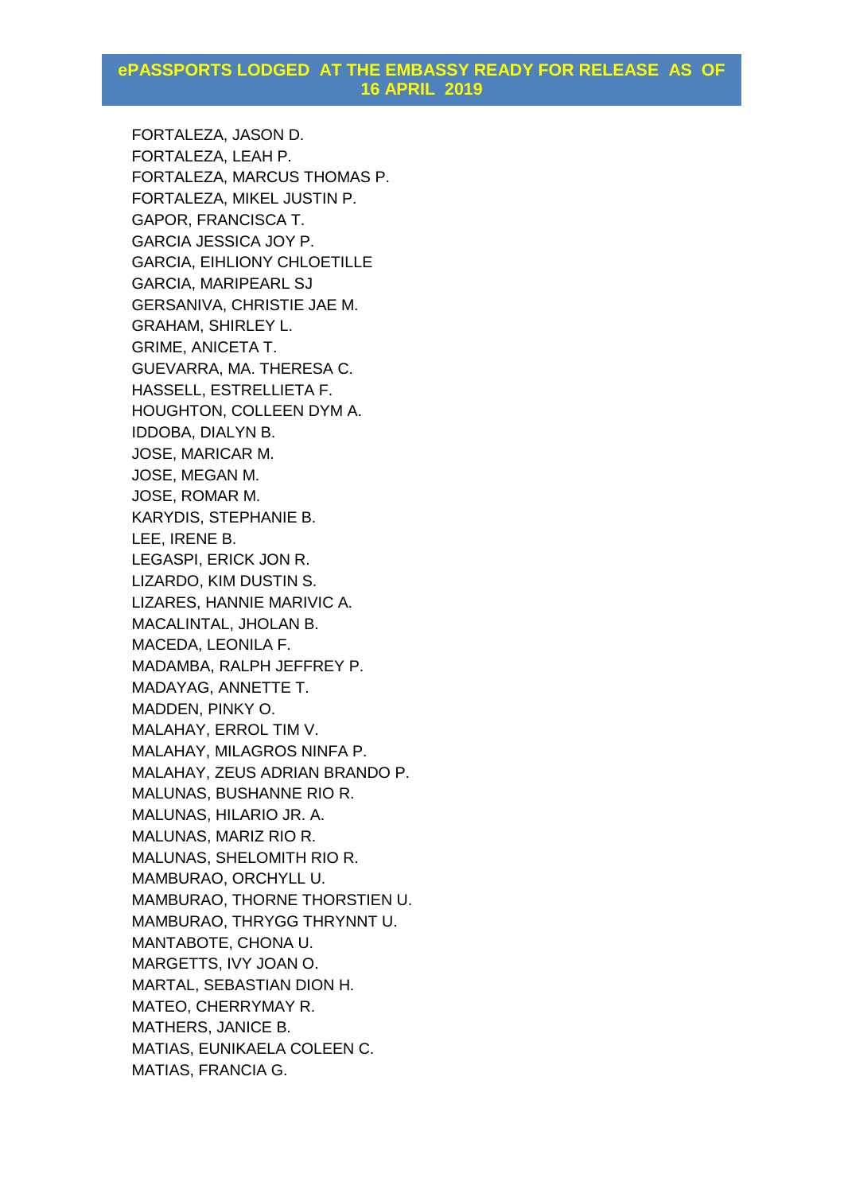FORTALEZA, JASON D. FORTALEZA, LEAH P. FORTALEZA, MARCUS THOMAS P. FORTALEZA, MIKEL JUSTIN P. GAPOR, FRANCISCA T. GARCIA JESSICA JOY P. GARCIA, EIHLIONY CHLOETILLE GARCIA, MARIPEARL SJ GERSANIVA, CHRISTIE JAE M. GRAHAM, SHIRLEY L. GRIME, ANICETA T. GUEVARRA, MA. THERESA C. HASSELL, ESTRELLIETA F. HOUGHTON, COLLEEN DYM A. IDDOBA, DIALYN B. JOSE, MARICAR M. JOSE, MEGAN M. JOSE, ROMAR M. KARYDIS, STEPHANIE B. LEE, IRENE B. LEGASPI, ERICK JON R. LIZARDO, KIM DUSTIN S. LIZARES, HANNIE MARIVIC A. MACALINTAL, JHOLAN B. MACEDA, LEONILA F. MADAMBA, RALPH JEFFREY P. MADAYAG, ANNETTE T. MADDEN, PINKY O. MALAHAY, ERROL TIM V. MALAHAY, MILAGROS NINFA P. MALAHAY, ZEUS ADRIAN BRANDO P. MALUNAS, BUSHANNE RIO R. MALUNAS, HILARIO JR. A. MALUNAS, MARIZ RIO R. MALUNAS, SHELOMITH RIO R. MAMBURAO, ORCHYLL U. MAMBURAO, THORNE THORSTIEN U. MAMBURAO, THRYGG THRYNNT U. MANTABOTE, CHONA U. MARGETTS, IVY JOAN O. MARTAL, SEBASTIAN DION H. MATEO, CHERRYMAY R. MATHERS, JANICE B. MATIAS, EUNIKAELA COLEEN C. MATIAS, FRANCIA G.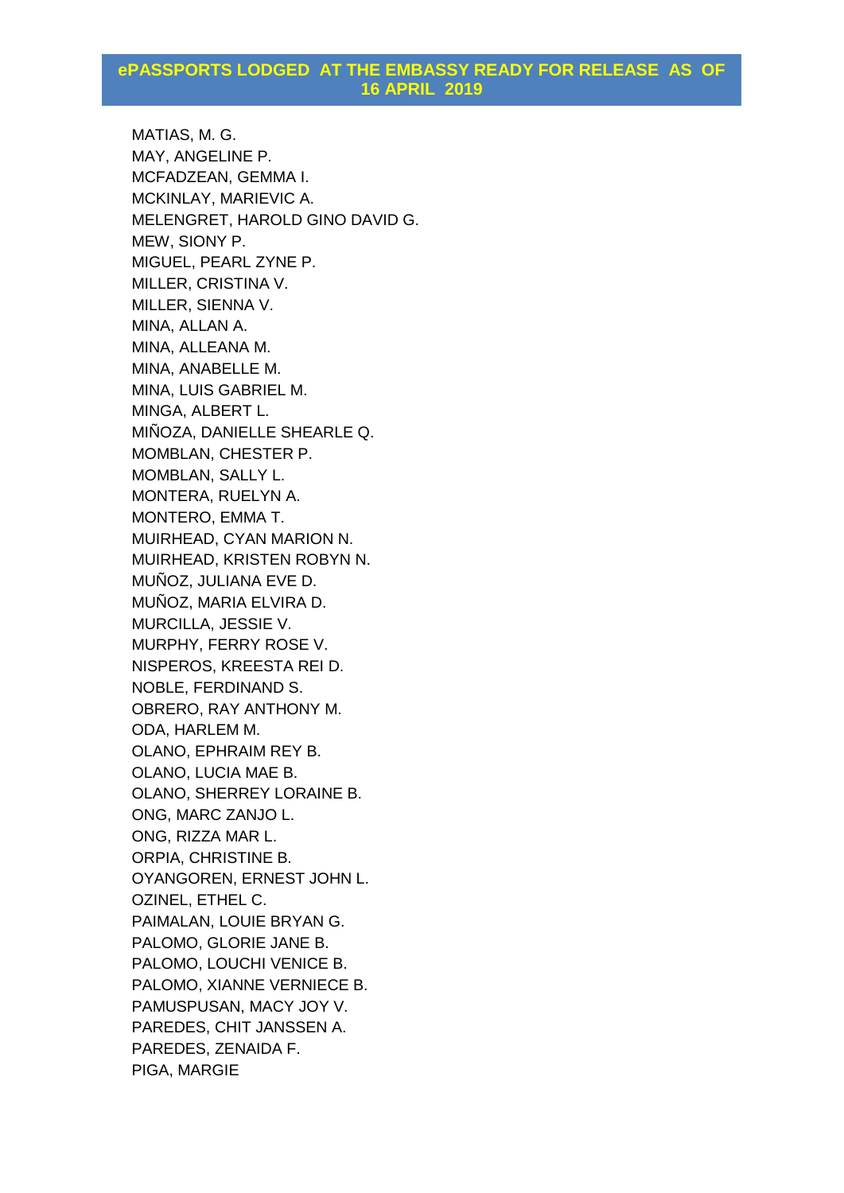MATIAS, M. G. MAY, ANGELINE P. MCFADZEAN, GEMMA I. MCKINLAY, MARIEVIC A. MELENGRET, HAROLD GINO DAVID G. MEW, SIONY P. MIGUEL, PEARL ZYNE P. MILLER, CRISTINA V. MILLER, SIENNA V. MINA, ALLAN A. MINA, ALLEANA M. MINA, ANABELLE M. MINA, LUIS GABRIEL M. MINGA, ALBERT L. MIÑOZA, DANIELLE SHEARLE Q. MOMBLAN, CHESTER P. MOMBLAN, SALLY L. MONTERA, RUELYN A. MONTERO, EMMA T. MUIRHEAD, CYAN MARION N. MUIRHEAD, KRISTEN ROBYN N. MUÑOZ, JULIANA EVE D. MUÑOZ, MARIA ELVIRA D. MURCILLA, JESSIE V. MURPHY, FERRY ROSE V. NISPEROS, KREESTA REI D. NOBLE, FERDINAND S. OBRERO, RAY ANTHONY M. ODA, HARLEM M. OLANO, EPHRAIM REY B. OLANO, LUCIA MAE B. OLANO, SHERREY LORAINE B. ONG, MARC ZANJO L. ONG, RIZZA MAR L. ORPIA, CHRISTINE B. OYANGOREN, ERNEST JOHN L. OZINEL, ETHEL C. PAIMALAN, LOUIE BRYAN G. PALOMO, GLORIE JANE B. PALOMO, LOUCHI VENICE B. PALOMO, XIANNE VERNIECE B. PAMUSPUSAN, MACY JOY V. PAREDES, CHIT JANSSEN A. PAREDES, ZENAIDA F. PIGA, MARGIE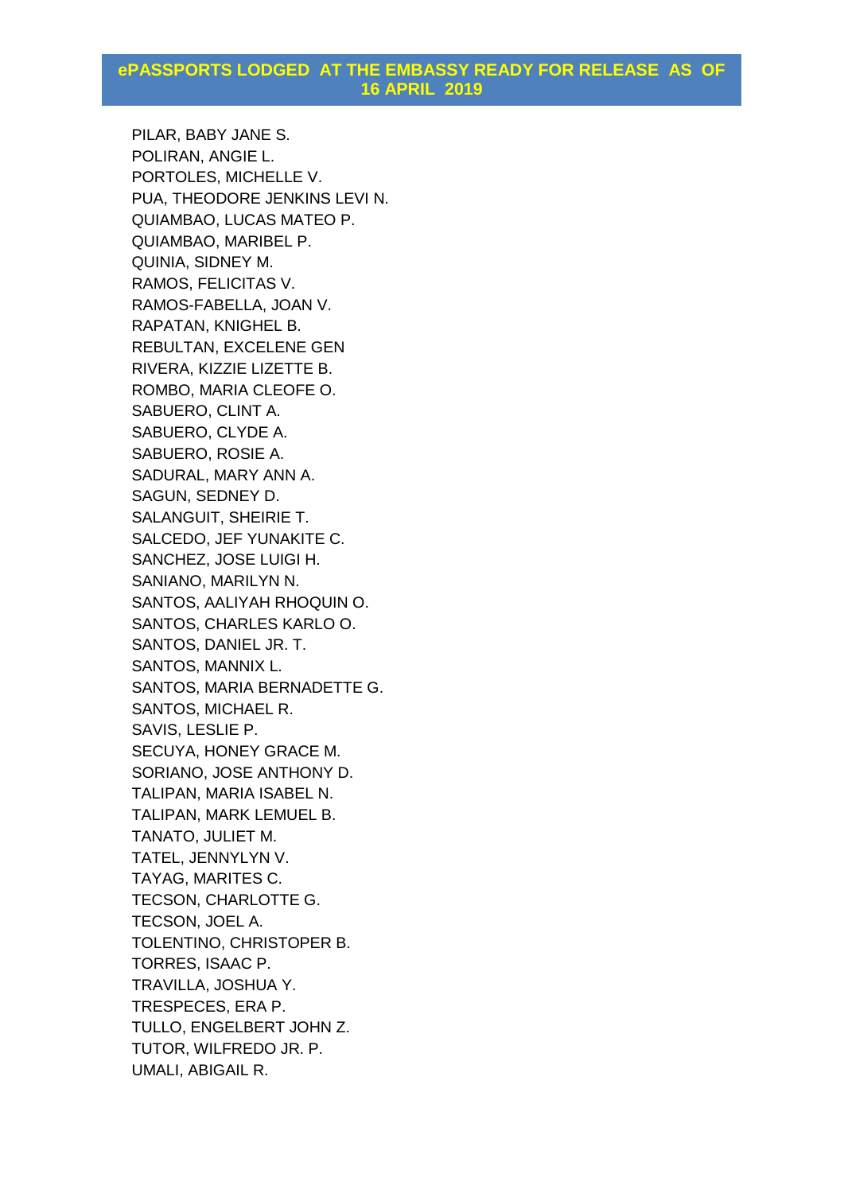PILAR, BABY JANE S. POLIRAN, ANGIE L. PORTOLES, MICHELLE V. PUA, THEODORE JENKINS LEVI N. QUIAMBAO, LUCAS MATEO P. QUIAMBAO, MARIBEL P. QUINIA, SIDNEY M. RAMOS, FELICITAS V. RAMOS-FABELLA, JOAN V. RAPATAN, KNIGHEL B. REBULTAN, EXCELENE GEN RIVERA, KIZZIE LIZETTE B. ROMBO, MARIA CLEOFE O. SABUERO, CLINT A. SABUERO, CLYDE A. SABUERO, ROSIE A. SADURAL, MARY ANN A. SAGUN, SEDNEY D. SALANGUIT, SHEIRIE T. SALCEDO, JEF YUNAKITE C. SANCHEZ, JOSE LUIGI H. SANIANO, MARILYN N. SANTOS, AALIYAH RHOQUIN O. SANTOS, CHARLES KARLO O. SANTOS, DANIEL JR. T. SANTOS, MANNIX L. SANTOS, MARIA BERNADETTE G. SANTOS, MICHAEL R. SAVIS, LESLIE P. SECUYA, HONEY GRACE M. SORIANO, JOSE ANTHONY D. TALIPAN, MARIA ISABEL N. TALIPAN, MARK LEMUEL B. TANATO, JULIET M. TATEL, JENNYLYN V. TAYAG, MARITES C. TECSON, CHARLOTTE G. TECSON, JOEL A. TOLENTINO, CHRISTOPER B. TORRES, ISAAC P. TRAVILLA, JOSHUA Y. TRESPECES, ERA P. TULLO, ENGELBERT JOHN Z. TUTOR, WILFREDO JR. P. UMALI, ABIGAIL R.